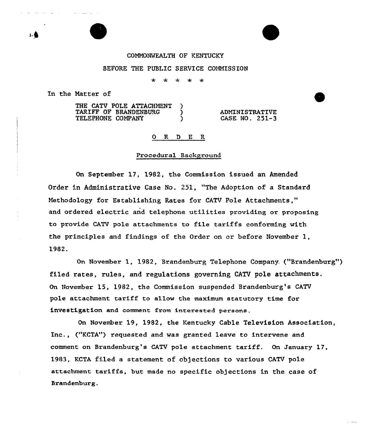### COMNONNEALTH OF KENTUCKY

### BEFORE THE PUBLIC SERVICE COMMISSION

 $\mathcal{L}$  $\mathcal{L}_{\mathbf{r}}$ مه

In the Natter of

s

THE CATV POLE ATTACHMENT )<br>TARIFF OF BRANDENBURG ) TARIFF OF BRANDENBURG )<br>TELEPHONE COMPANY TELEPHONE COMPANY

ADNINISTRATIVE CASE NO. 251-3

#### R D E R

#### Procedural Background

On September 17, 1982, the Commission issued an Amended Order in Administrative Case No. 251, "The Adoption of a Standard Nethodology for Establishing Rates for CATV Pole Attachments," and ordered electric and telephone utilities providing or proposing to provide CATV pole attachments to file tariffs conforming with the principles and findings of the Order on or before November 1, 1982.

On November 1, 1982, Brandenburg Telephone Company. ("Brandenburg") filed rates, rules, and regulations governing CATV pole attachments. On November 15, 1982, the Commission suspended Brandenburg's CATV pole attachment tariff to allow the maximum statutory time for investigation and comment from interested persons.

On November 19, 1982, the Kentucky Cable Television Association, Inc., ("KCTA"} requested and was granted leave to intervene and comment on Brandenburg's CATV pole attachment tariff. On January 17, 1983, KCTA filed a statement of objections to various CATV pole attachment tariffs, but made no specific objections in the case of Srandenburg.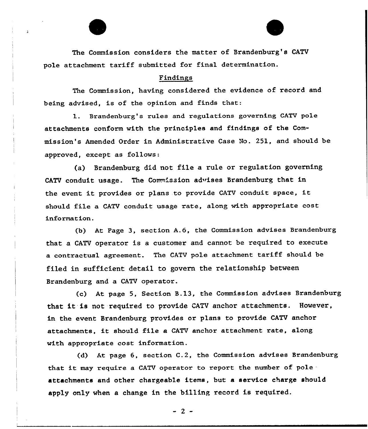The Commission considers the matter of Brandenburg's CATV pole attachment tariff submitted fox final determination.

### Findings

The Commission, having considered the evidence of record and being advised, is of the opinion and finds that:

 $\bf 1.$  Brandenburg's rules and regulations governing CATV pole attachments conform with the principles and findings of the Commission's Amended Order in Administrative Case Io. 251, and should be appxoved, except as follows:

(a) Brandenburg did not file a rule or regulation governing CATV conduit usage. The Commission adwises Brandenburg that in the event it provides or plans to provide CATV conduit space, it should file a CATV conduit usage rate, along with appropriate cost information.

(b} At Page 3, section A.6, the Commission advises Brandenburg that a CATV operator is a customer and cannot be required to execute a contractual agreement. The CATV pole attachment tariff should be filed in sufficient detail to govern the relationship between Brandenburg and a CATV operator.

(c) At page 5, Section B.13, the Commission advises Brandenburg that it is not required to provide CATV anchor attachments. However, in the event Brandenburg provides or plans to provide CATV anchor attachments, it should file <sup>a</sup> CATV anchor attachment rate, along with appropriate cost information.

{d) At page 6, section C.2, the Commission advises Brandenburg that it may require a CATV operator to report the number of pole attachments and other chargeable items, but a service charge should apply only when a change in the billing record is required.

 $-2-$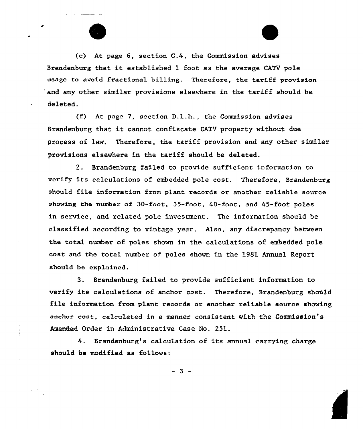(e) At page 6, section C.4, the Commis sion advises Brandenburg that it established <sup>1</sup> foot as the average CATV pole usage to avoid fractional billing. Therefore, the tariff provision 'and any other similar provisions elsewhere in the tariff should be deleted.

(f) At page 7, section D.l.h., the Commission advises Brandenburg that it cannot confiscate CATV property without due process of law. Therefore, the tariff provision and any other similar provisions elsewhere in the tariff should be deleted.

2. Srandenburg failed to provide sufficient information to verify its calculations of embedded pole cost. Therefore, Brandenburg should file information from plant records or another reliable source showing the number of 30-foot, 35-foot, 40-foot, and 45-foot poles in service, and related pole investment. The information should be classified according to vintage year. Also, any discrepancy between the total number of poles shown in the calculations of embedded pole cost and the total number of poles shown in the 1981 Annual Keport should be explained.

3. Brandenburg failed to provide sufficient information to verify its calculations of anchor cost. Therefore, Brandenburg should file information from p1ant records or another reliable source showing anchor cost, calculated in a manner consistent with the Commission's Amended Order in Administrative Case No. 251.

4. Brandenburg's calculation of its annual carrying charge should be modified as follows:

 $-3-$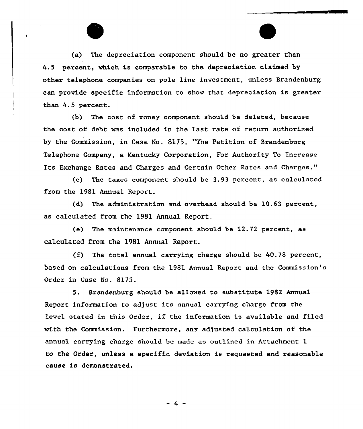(a) The depreciation component should be no greater than 4.5 percent, which is comparable to the depreciation claimed by other telephone companies on pole line investment, unless Brandenburg can provide specific information to show that depreciation is greater than 4.5 percent.

(b) The cost of money component should be deleted, because the cost of debt was included in the last rate of return authorized by the Commission, in Case No. 8175, "The Petition of Brandenburg Telephone Company, a Kentucky Corporation, For Authority To increase Its Exchange Rates and Charges and Certain Other Rates and Charges."

(c) The taxes component should be 3.93 percent, as calculated from the 1981 Annual Report.

(d) The administration and overhead should be 10.63 percent, as calculated from the 1981 Annual Report.

(e) The maintenance component should be 12.72 percent, as calculated from the 1981 Annual Report.

(f) The total annual carrying charge should be 40.78 percent, based on calculations from the 1981 Annual Report and the Commission's Order in Case No. 8175.

5. Brandenburg should be allowed to substitute 1982 Annual Report information to adjust its annual carrying charge from the level stated in this Order, if the information is available and filed with the Commission. Furthermore, any adjusted calculation of the annual carrying charge should be made as outlined in Attachment 1 to the Order, unless a specific deviation is requested and reasonable cause is demonstrated.

 $-4 -$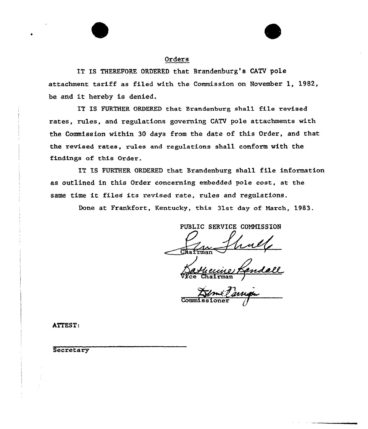# Orders

IT IS THEREFORE ORDERED that Srandenburg's CATV pole attachment tariff as filed with the Commission on November 1, 1982, be and it hereby is denied.

IT IS FURTHER ORDERED that Brandenburg shall file revised rates, rules, and regulations governing CATV pole attachments with the Commission within 30 days from the date of this Order, and that the revised rates, rules and regulations shall conform with the findings of this Order.

IT IS FURTHER ORDERED that Brandenburg shall file information as outlined in this Ordex concexning embedded pole cost, st the same time it files its revised rate, rules and regulations.

Done at Frankfort, Kentucky, this 31st day of March, 1983.

PUBLIC SERVICE COMMISSION

<u>Ba thecine</u>

Commi ssioner

ATTEST:

**Secretary**